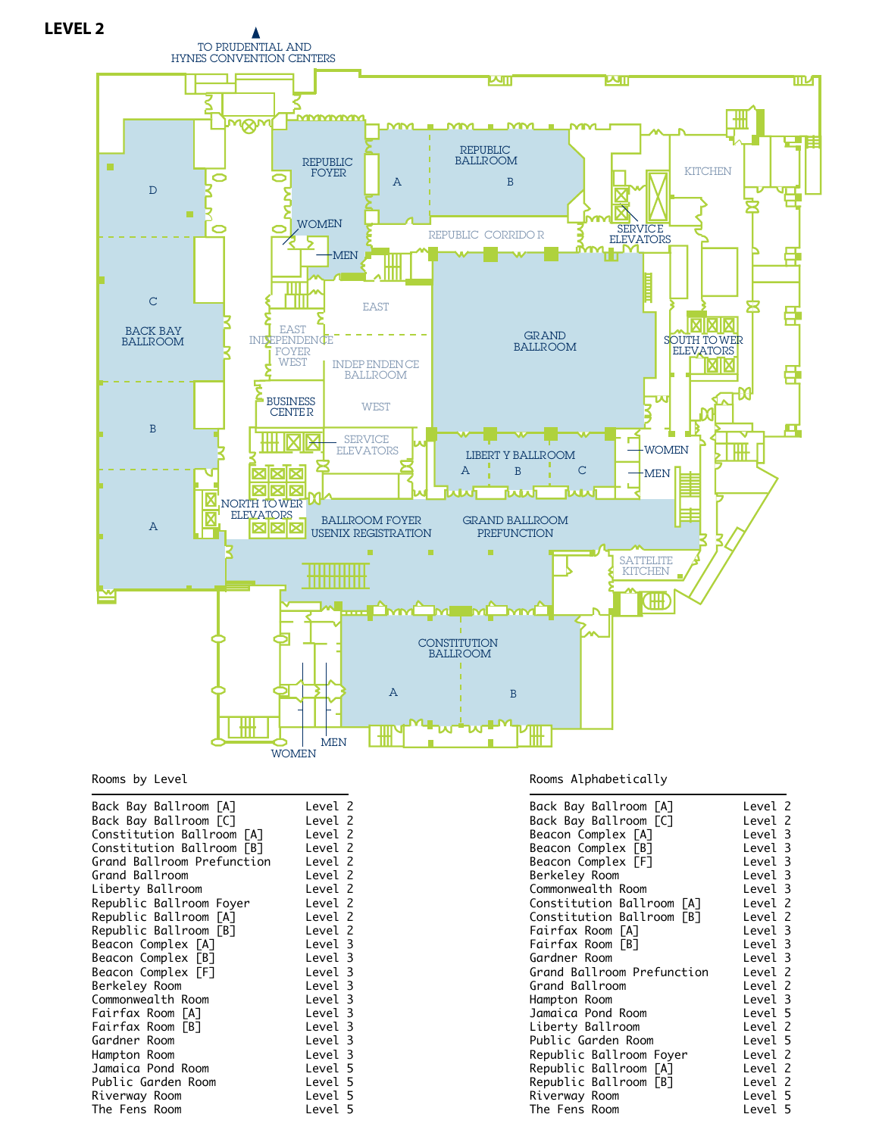

## Rooms by Level

## Rooms Alphabetically

| Back Bay Ballroom [A]      | Level 2 |
|----------------------------|---------|
| Back Bay Ballroom [C]      | Level 2 |
| Beacon Complex [A]         | Level 3 |
| Beacon Complex [B]         | Level 3 |
| Beacon Complex [F]         | Level 3 |
|                            |         |
| Berkeley Room              | Level 3 |
| Commonwealth Room          | Level 3 |
| Constitution Ballroom [A]  | Level 2 |
| Constitution Ballroom [B]  | Level 2 |
| Fairfax Room [A]           | Level 3 |
| Fairfax Room [B]           | Level 3 |
| Gardner Room               | Level 3 |
| Grand Ballroom Prefunction | Level 2 |
| Grand Ballroom             | Level 2 |
| Hampton Room               | Level 3 |
| Jamaica Pond Room          | Level 5 |
| Liberty Ballroom           | Level 2 |
| Public Garden Room         | Level 5 |
| Republic Ballroom Foyer    | Level 2 |
| Republic Ballroom [A]      | Level 2 |
| Republic Ballroom [B]      | Level 2 |
| Riverway Room              | Level 5 |
| The Fens Room              | Level 5 |